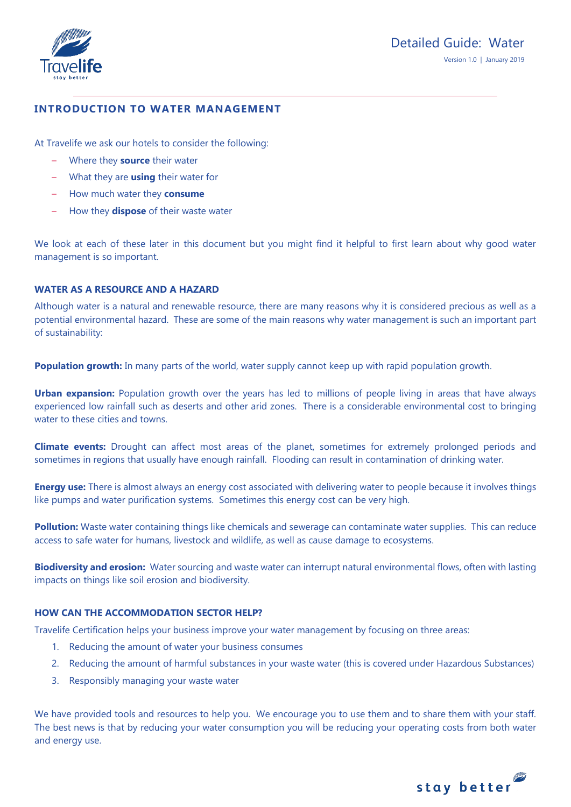

# **INTRODUCTION TO WATER MANAGEMENT**

At Travelife we ask our hotels to consider the following:

- Where they **source** their water
- What they are **using** their water for
- How much water they **consume**
- How they **dispose** of their waste water

We look at each of these later in this document but you might find it helpful to first learn about why good water management is so important.

# **WATER AS A RESOURCE AND A HAZARD**

Although water is a natural and renewable resource, there are many reasons why it is considered precious as well as a potential environmental hazard. These are some of the main reasons why water management is such an important part of sustainability:

**Population growth:** In many parts of the world, water supply cannot keep up with rapid population growth.

**Urban expansion:** Population growth over the years has led to millions of people living in areas that have always experienced low rainfall such as deserts and other arid zones. There is a considerable environmental cost to bringing water to these cities and towns.

**Climate events:** Drought can affect most areas of the planet, sometimes for extremely prolonged periods and sometimes in regions that usually have enough rainfall. Flooding can result in contamination of drinking water.

**Energy use:** There is almost always an energy cost associated with delivering water to people because it involves things like pumps and water purification systems. Sometimes this energy cost can be very high.

**Pollution:** Waste water containing things like chemicals and sewerage can contaminate water supplies. This can reduce access to safe water for humans, livestock and wildlife, as well as cause damage to ecosystems.

**Biodiversity and erosion:** Water sourcing and waste water can interrupt natural environmental flows, often with lasting impacts on things like soil erosion and biodiversity.

# **HOW CAN THE ACCOMMODATION SECTOR HELP?**

Travelife Certification helps your business improve your water management by focusing on three areas:

- 1. Reducing the amount of water your business consumes
- 2. Reducing the amount of harmful substances in your waste water (this is covered under Hazardous Substances)
- 3. Responsibly managing your waste water

We have provided tools and resources to help you. We encourage you to use them and to share them with your staff. The best news is that by reducing your water consumption you will be reducing your operating costs from both water and energy use.

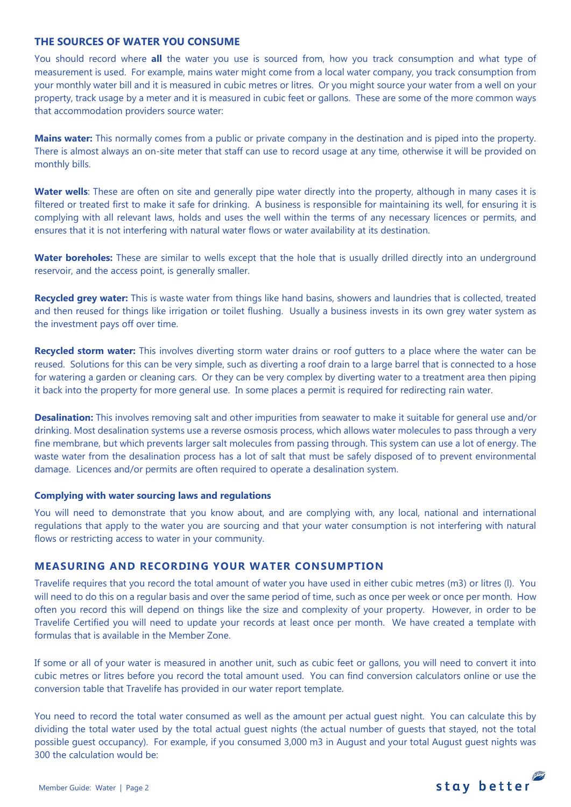#### **THE SOURCES OF WATER YOU CONSUME**

You should record where **all** the water you use is sourced from, how you track consumption and what type of measurement is used. For example, mains water might come from a local water company, you track consumption from your monthly water bill and it is measured in cubic metres or litres. Or you might source your water from a well on your property, track usage by a meter and it is measured in cubic feet or gallons. These are some of the more common ways that accommodation providers source water:

**Mains water:** This normally comes from a public or private company in the destination and is piped into the property. There is almost always an on-site meter that staff can use to record usage at any time, otherwise it will be provided on monthly bills.

Water wells: These are often on site and generally pipe water directly into the property, although in many cases it is filtered or treated first to make it safe for drinking. A business is responsible for maintaining its well, for ensuring it is complying with all relevant laws, holds and uses the well within the terms of any necessary licences or permits, and ensures that it is not interfering with natural water flows or water availability at its destination.

Water boreholes: These are similar to wells except that the hole that is usually drilled directly into an underground reservoir, and the access point, is generally smaller.

**Recycled grey water:** This is waste water from things like hand basins, showers and laundries that is collected, treated and then reused for things like irrigation or toilet flushing. Usually a business invests in its own grey water system as the investment pays off over time.

**Recycled storm water:** This involves diverting storm water drains or roof gutters to a place where the water can be reused. Solutions for this can be very simple, such as diverting a roof drain to a large barrel that is connected to a hose for watering a garden or cleaning cars. Or they can be very complex by diverting water to a treatment area then piping it back into the property for more general use. In some places a permit is required for redirecting rain water.

**Desalination:** This involves removing salt and other impurities from seawater to make it suitable for general use and/or drinking. Most desalination systems use a reverse osmosis process, which allows water molecules to pass through a very fine membrane, but which prevents larger salt molecules from passing through. This system can use a lot of energy. The waste water from the desalination process has a lot of salt that must be safely disposed of to prevent environmental damage. Licences and/or permits are often required to operate a desalination system.

#### **Complying with water sourcing laws and regulations**

You will need to demonstrate that you know about, and are complying with, any local, national and international regulations that apply to the water you are sourcing and that your water consumption is not interfering with natural flows or restricting access to water in your community.

### **MEASURING AND RECORDING YOUR WATER CONSUMPTION**

Travelife requires that you record the total amount of water you have used in either cubic metres (m3) or litres (l). You will need to do this on a regular basis and over the same period of time, such as once per week or once per month. How often you record this will depend on things like the size and complexity of your property. However, in order to be Travelife Certified you will need to update your records at least once per month. We have created a template with formulas that is available in the Member Zone.

If some or all of your water is measured in another unit, such as cubic feet or gallons, you will need to convert it into cubic metres or litres before you record the total amount used. You can find conversion calculators online or use the conversion table that Travelife has provided in our water report template.

You need to record the total water consumed as well as the amount per actual guest night. You can calculate this by dividing the total water used by the total actual guest nights (the actual number of guests that stayed, not the total possible guest occupancy). For example, if you consumed 3,000 m3 in August and your total August guest nights was 300 the calculation would be:

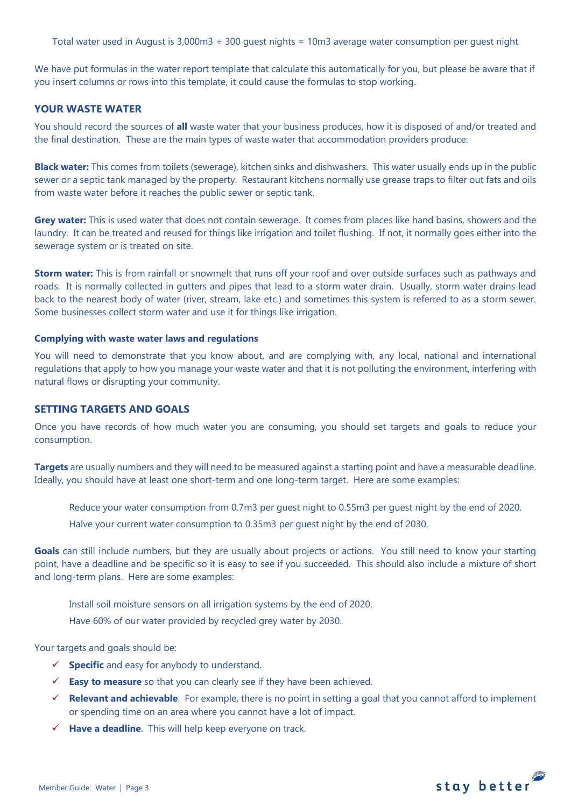Total water used in August is 3,000m3 ÷ 300 guest nights = 10m3 average water consumption per guest night

We have put formulas in the water report template that calculate this automatically for you, but please be aware that if you insert columns or rows into this template, it could cause the formulas to stop working.

#### **YOUR WASTE WATER**

You should record the sources of **all** waste water that your business produces, how it is disposed of and/or treated and the final destination. These are the main types of waste water that accommodation providers produce:

**Black water:** This comes from toilets (sewerage), kitchen sinks and dishwashers. This water usually ends up in the public sewer or a septic tank managed by the property. Restaurant kitchens normally use grease traps to filter out fats and oils from waste water before it reaches the public sewer or septic tank.

**Grey water:** This is used water that does not contain sewerage. It comes from places like hand basins, showers and the laundry. It can be treated and reused for things like irrigation and toilet flushing. If not, it normally goes either into the sewerage system or is treated on site.

**Storm water:** This is from rainfall or snowmelt that runs off your roof and over outside surfaces such as pathways and roads. It is normally collected in gutters and pipes that lead to a storm water drain. Usually, storm water drains lead back to the nearest body of water (river, stream, lake etc.) and sometimes this system is referred to as a storm sewer. Some businesses collect storm water and use it for things like irrigation.

#### **Complying with waste water laws and regulations**

You will need to demonstrate that you know about, and are complying with, any local, national and international regulations that apply to how you manage your waste water and that it is not polluting the environment, interfering with natural flows or disrupting your community.

### **SETTING TARGETS AND GOALS**

Once you have records of how much water you are consuming, you should set targets and goals to reduce your consumption.

**Targets** are usually numbers and they will need to be measured against a starting point and have a measurable deadline. Ideally, you should have at least one short-term and one long-term target. Here are some examples:

Reduce your water consumption from 0.7m3 per guest night to 0.55m3 per guest night by the end of 2020.

Halve your current water consumption to 0.35m3 per guest night by the end of 2030.

Goals can still include numbers, but they are usually about projects or actions. You still need to know your starting point, have a deadline and be specific so it is easy to see if you succeeded. This should also include a mixture of short and long-term plans. Here are some examples:

Install soil moisture sensors on all irrigation systems by the end of 2020.

Have 60% of our water provided by recycled grey water by 2030.

Your targets and goals should be:

- **Specific** and easy for anybody to understand.
- **Easy to measure** so that you can clearly see if they have been achieved.
- **Relevant and achievable**. For example, there is no point in setting a goal that you cannot afford to implement or spending time on an area where you cannot have a lot of impact.
- **Have a deadline**. This will help keep everyone on track.

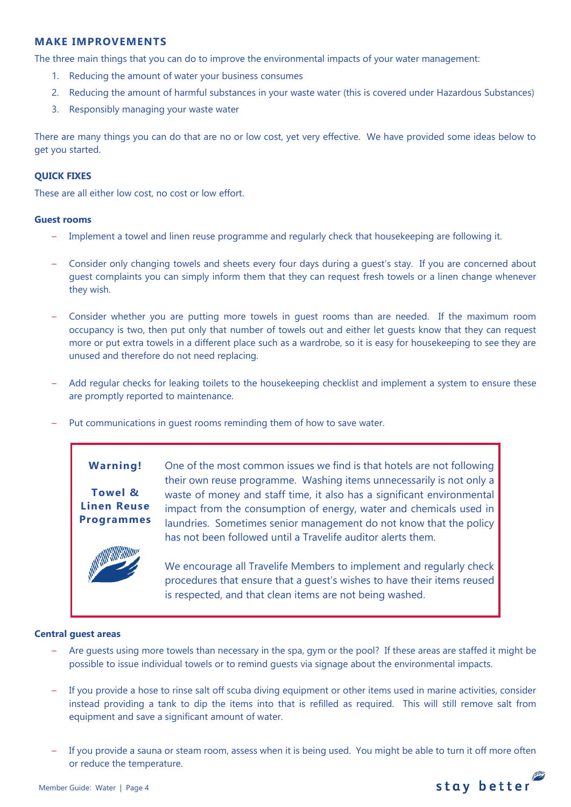## **MAKE IMPROVEMENTS**

The three main things that you can do to improve the environmental impacts of your water management:

- 1. Reducing the amount of water your business consumes
- 2. Reducing the amount of harmful substances in your waste water (this is covered under Hazardous Substances)
- 3. Responsibly managing your waste water

There are many things you can do that are no or low cost, yet very effective. We have provided some ideas below to get you started.

### **QUICK FIXES**

These are all either low cost, no cost or low effort.

#### **Guest rooms**

- Implement a towel and linen reuse programme and regularly check that housekeeping are following it.
- Consider only changing towels and sheets every four days during a guest's stay. If you are concerned about guest complaints you can simply inform them that they can request fresh towels or a linen change whenever they wish.
- Consider whether you are putting more towels in guest rooms than are needed. If the maximum room occupancy is two, then put only that number of towels out and either let guests know that they can request more or put extra towels in a different place such as a wardrobe, so it is easy for housekeeping to see they are unused and therefore do not need replacing.
- Add regular checks for leaking toilets to the housekeeping checklist and implement a system to ensure these are promptly reported to maintenance.
- Put communications in guest rooms reminding them of how to save water.

# **Warning! Towel &**

**Linen Reuse Programmes** One of the most common issues we find is that hotels are not following their own reuse programme. Washing items unnecessarily is not only a waste of money and staff time, it also has a significant environmental impact from the consumption of energy, water and chemicals used in laundries. Sometimes senior management do not know that the policy has not been followed until a Travelife auditor alerts them.

We encourage all Travelife Members to implement and regularly check procedures that ensure that a guest's wishes to have their items reused is respected, and that clean items are not being washed.

### **Central guest areas**

- Are guests using more towels than necessary in the spa, gym or the pool? If these areas are staffed it might be possible to issue individual towels or to remind guests via signage about the environmental impacts.
- If you provide a hose to rinse salt off scuba diving equipment or other items used in marine activities, consider instead providing a tank to dip the items into that is refilled as required. This will still remove salt from equipment and save a significant amount of water.
- If you provide a sauna or steam room, assess when it is being used. You might be able to turn it off more often or reduce the temperature.

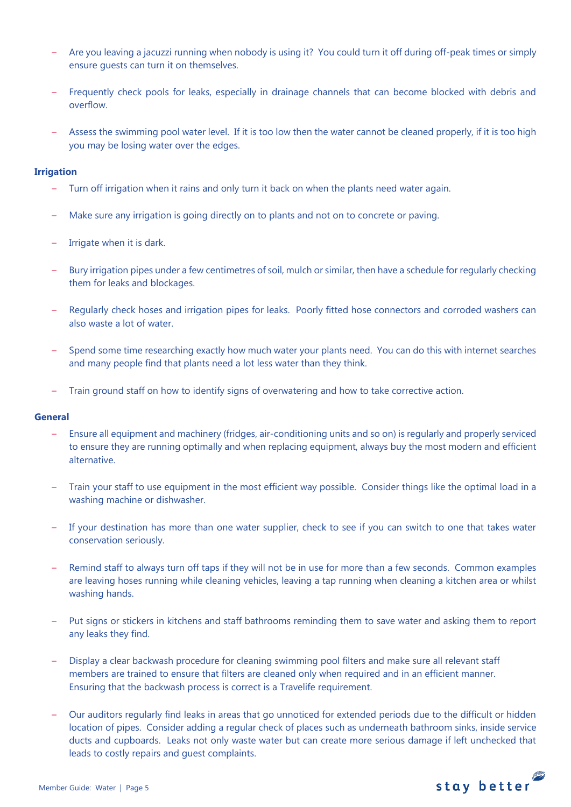- Are you leaving a jacuzzi running when nobody is using it? You could turn it off during off-peak times or simply ensure guests can turn it on themselves.
- Frequently check pools for leaks, especially in drainage channels that can become blocked with debris and overflow.
- Assess the swimming pool water level. If it is too low then the water cannot be cleaned properly, if it is too high you may be losing water over the edges.

#### **Irrigation**

- Turn off irrigation when it rains and only turn it back on when the plants need water again.
- Make sure any irrigation is going directly on to plants and not on to concrete or paving.
- Irrigate when it is dark.
- Bury irrigation pipes under a few centimetres of soil, mulch or similar, then have a schedule for regularly checking them for leaks and blockages.
- Regularly check hoses and irrigation pipes for leaks. Poorly fitted hose connectors and corroded washers can also waste a lot of water.
- Spend some time researching exactly how much water your plants need. You can do this with internet searches and many people find that plants need a lot less water than they think.
- Train ground staff on how to identify signs of overwatering and how to take corrective action.

#### **General**

- Ensure all equipment and machinery (fridges, air-conditioning units and so on) is regularly and properly serviced to ensure they are running optimally and when replacing equipment, always buy the most modern and efficient alternative.
- Train your staff to use equipment in the most efficient way possible. Consider things like the optimal load in a washing machine or dishwasher.
- If your destination has more than one water supplier, check to see if you can switch to one that takes water conservation seriously.
- Remind staff to always turn off taps if they will not be in use for more than a few seconds. Common examples are leaving hoses running while cleaning vehicles, leaving a tap running when cleaning a kitchen area or whilst washing hands.
- Put signs or stickers in kitchens and staff bathrooms reminding them to save water and asking them to report any leaks they find.
- Display a clear backwash procedure for cleaning swimming pool filters and make sure all relevant staff members are trained to ensure that filters are cleaned only when required and in an efficient manner. Ensuring that the backwash process is correct is a Travelife requirement.
- Our auditors regularly find leaks in areas that go unnoticed for extended periods due to the difficult or hidden location of pipes. Consider adding a regular check of places such as underneath bathroom sinks, inside service ducts and cupboards. Leaks not only waste water but can create more serious damage if left unchecked that leads to costly repairs and guest complaints.

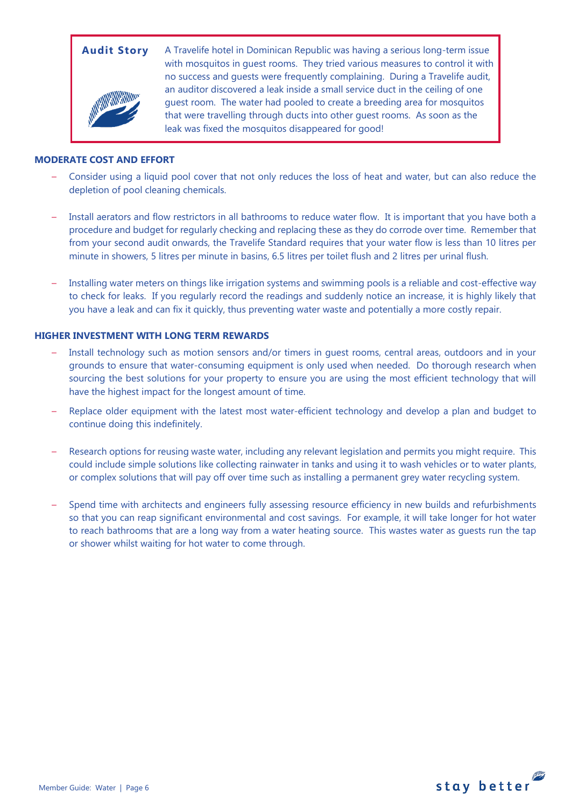

**Audit Story** A Travelife hotel in Dominican Republic was having a serious long-term issue with mosquitos in guest rooms. They tried various measures to control it with no success and guests were frequently complaining. During a Travelife audit, an auditor discovered a leak inside a small service duct in the ceiling of one guest room. The water had pooled to create a breeding area for mosquitos that were travelling through ducts into other guest rooms. As soon as the leak was fixed the mosquitos disappeared for good!

#### **MODERATE COST AND EFFORT**

- Consider using a liquid pool cover that not only reduces the loss of heat and water, but can also reduce the depletion of pool cleaning chemicals.
- Install aerators and flow restrictors in all bathrooms to reduce water flow. It is important that you have both a procedure and budget for regularly checking and replacing these as they do corrode over time. Remember that from your second audit onwards, the Travelife Standard requires that your water flow is less than 10 litres per minute in showers, 5 litres per minute in basins, 6.5 litres per toilet flush and 2 litres per urinal flush.
- Installing water meters on things like irrigation systems and swimming pools is a reliable and cost-effective way to check for leaks. If you regularly record the readings and suddenly notice an increase, it is highly likely that you have a leak and can fix it quickly, thus preventing water waste and potentially a more costly repair.

### **HIGHER INVESTMENT WITH LONG TERM REWARDS**

- Install technology such as motion sensors and/or timers in guest rooms, central areas, outdoors and in your grounds to ensure that water-consuming equipment is only used when needed. Do thorough research when sourcing the best solutions for your property to ensure you are using the most efficient technology that will have the highest impact for the longest amount of time.
- Replace older equipment with the latest most water-efficient technology and develop a plan and budget to continue doing this indefinitely.
- Research options for reusing waste water, including any relevant legislation and permits you might require. This could include simple solutions like collecting rainwater in tanks and using it to wash vehicles or to water plants, or complex solutions that will pay off over time such as installing a permanent grey water recycling system.
- Spend time with architects and engineers fully assessing resource efficiency in new builds and refurbishments so that you can reap significant environmental and cost savings. For example, it will take longer for hot water to reach bathrooms that are a long way from a water heating source. This wastes water as guests run the tap or shower whilst waiting for hot water to come through.